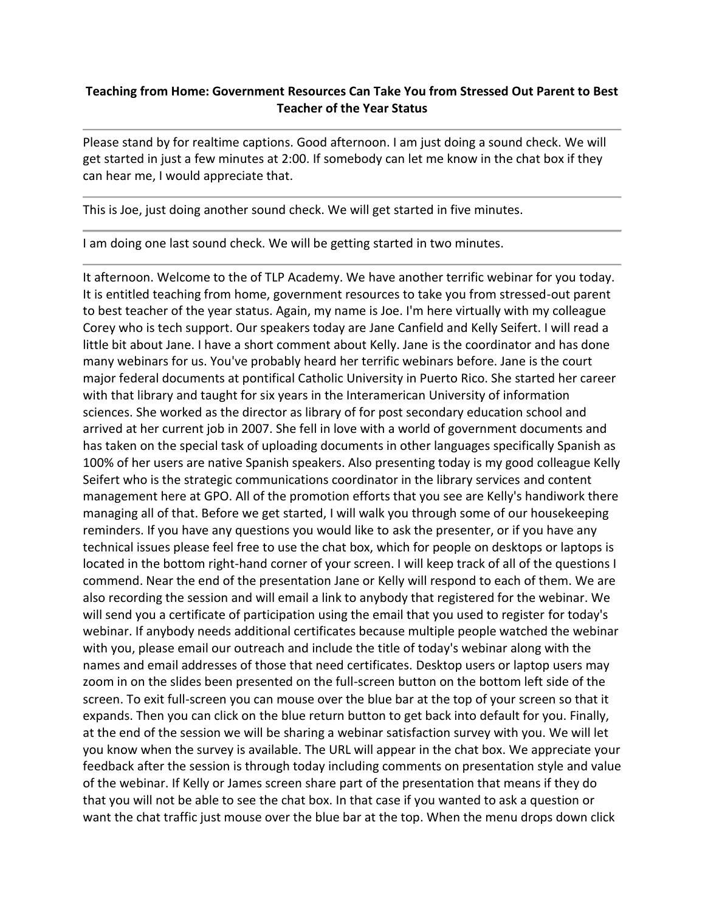## **Teaching from Home: Government Resources Can Take You from Stressed Out Parent to Best Teacher of the Year Status**

Please stand by for realtime captions. Good afternoon. I am just doing a sound check. We will get started in just a few minutes at 2:00. If somebody can let me know in the chat box if they can hear me, I would appreciate that.

This is Joe, just doing another sound check. We will get started in five minutes.

I am doing one last sound check. We will be getting started in two minutes.

It afternoon. Welcome to the of TLP Academy. We have another terrific webinar for you today. It is entitled teaching from home, government resources to take you from stressed-out parent to best teacher of the year status. Again, my name is Joe. I'm here virtually with my colleague Corey who is tech support. Our speakers today are Jane Canfield and Kelly Seifert. I will read a little bit about Jane. I have a short comment about Kelly. Jane is the coordinator and has done many webinars for us. You've probably heard her terrific webinars before. Jane is the court major federal documents at pontifical Catholic University in Puerto Rico. She started her career with that library and taught for six years in the Interamerican University of information sciences. She worked as the director as library of for post secondary education school and arrived at her current job in 2007. She fell in love with a world of government documents and has taken on the special task of uploading documents in other languages specifically Spanish as 100% of her users are native Spanish speakers. Also presenting today is my good colleague Kelly Seifert who is the strategic communications coordinator in the library services and content management here at GPO. All of the promotion efforts that you see are Kelly's handiwork there managing all of that. Before we get started, I will walk you through some of our housekeeping reminders. If you have any questions you would like to ask the presenter, or if you have any technical issues please feel free to use the chat box, which for people on desktops or laptops is located in the bottom right-hand corner of your screen. I will keep track of all of the questions I commend. Near the end of the presentation Jane or Kelly will respond to each of them. We are also recording the session and will email a link to anybody that registered for the webinar. We will send you a certificate of participation using the email that you used to register for today's webinar. If anybody needs additional certificates because multiple people watched the webinar with you, please email our outreach and include the title of today's webinar along with the names and email addresses of those that need certificates. Desktop users or laptop users may zoom in on the slides been presented on the full-screen button on the bottom left side of the screen. To exit full-screen you can mouse over the blue bar at the top of your screen so that it expands. Then you can click on the blue return button to get back into default for you. Finally, at the end of the session we will be sharing a webinar satisfaction survey with you. We will let you know when the survey is available. The URL will appear in the chat box. We appreciate your feedback after the session is through today including comments on presentation style and value of the webinar. If Kelly or James screen share part of the presentation that means if they do that you will not be able to see the chat box. In that case if you wanted to ask a question or want the chat traffic just mouse over the blue bar at the top. When the menu drops down click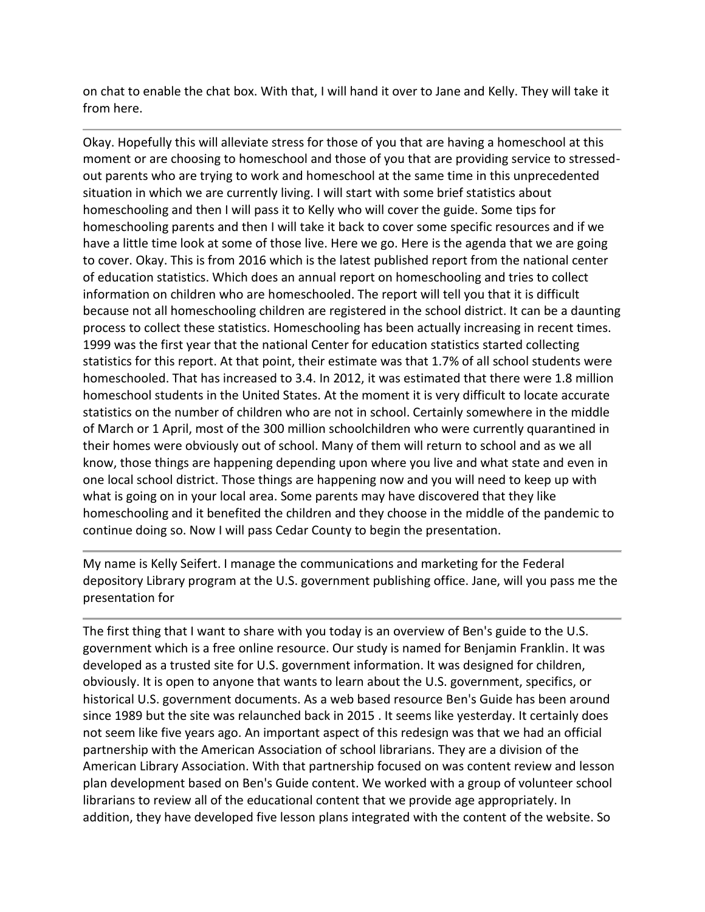on chat to enable the chat box. With that, I will hand it over to Jane and Kelly. They will take it from here.

Okay. Hopefully this will alleviate stress for those of you that are having a homeschool at this moment or are choosing to homeschool and those of you that are providing service to stressedout parents who are trying to work and homeschool at the same time in this unprecedented situation in which we are currently living. I will start with some brief statistics about homeschooling and then I will pass it to Kelly who will cover the guide. Some tips for homeschooling parents and then I will take it back to cover some specific resources and if we have a little time look at some of those live. Here we go. Here is the agenda that we are going to cover. Okay. This is from 2016 which is the latest published report from the national center of education statistics. Which does an annual report on homeschooling and tries to collect information on children who are homeschooled. The report will tell you that it is difficult because not all homeschooling children are registered in the school district. It can be a daunting process to collect these statistics. Homeschooling has been actually increasing in recent times. 1999 was the first year that the national Center for education statistics started collecting statistics for this report. At that point, their estimate was that 1.7% of all school students were homeschooled. That has increased to 3.4. In 2012, it was estimated that there were 1.8 million homeschool students in the United States. At the moment it is very difficult to locate accurate statistics on the number of children who are not in school. Certainly somewhere in the middle of March or 1 April, most of the 300 million schoolchildren who were currently quarantined in their homes were obviously out of school. Many of them will return to school and as we all know, those things are happening depending upon where you live and what state and even in one local school district. Those things are happening now and you will need to keep up with what is going on in your local area. Some parents may have discovered that they like homeschooling and it benefited the children and they choose in the middle of the pandemic to continue doing so. Now I will pass Cedar County to begin the presentation.

My name is Kelly Seifert. I manage the communications and marketing for the Federal depository Library program at the U.S. government publishing office. Jane, will you pass me the presentation for

The first thing that I want to share with you today is an overview of Ben's guide to the U.S. government which is a free online resource. Our study is named for Benjamin Franklin. It was developed as a trusted site for U.S. government information. It was designed for children, obviously. It is open to anyone that wants to learn about the U.S. government, specifics, or historical U.S. government documents. As a web based resource Ben's Guide has been around since 1989 but the site was relaunched back in 2015 . It seems like yesterday. It certainly does not seem like five years ago. An important aspect of this redesign was that we had an official partnership with the American Association of school librarians. They are a division of the American Library Association. With that partnership focused on was content review and lesson plan development based on Ben's Guide content. We worked with a group of volunteer school librarians to review all of the educational content that we provide age appropriately. In addition, they have developed five lesson plans integrated with the content of the website. So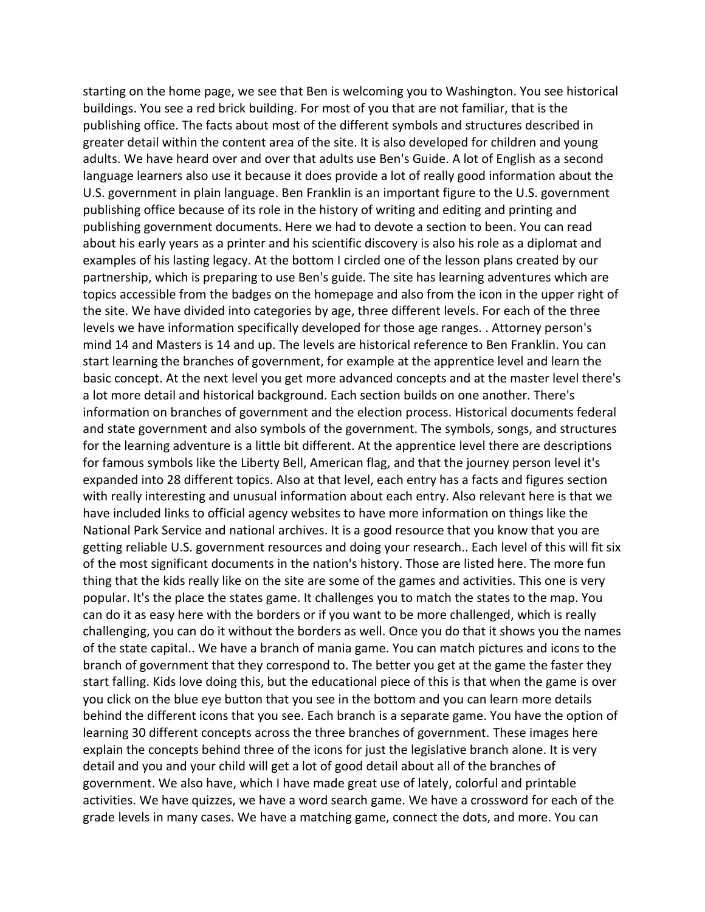starting on the home page, we see that Ben is welcoming you to Washington. You see historical buildings. You see a red brick building. For most of you that are not familiar, that is the publishing office. The facts about most of the different symbols and structures described in greater detail within the content area of the site. It is also developed for children and young adults. We have heard over and over that adults use Ben's Guide. A lot of English as a second language learners also use it because it does provide a lot of really good information about the U.S. government in plain language. Ben Franklin is an important figure to the U.S. government publishing office because of its role in the history of writing and editing and printing and publishing government documents. Here we had to devote a section to been. You can read about his early years as a printer and his scientific discovery is also his role as a diplomat and examples of his lasting legacy. At the bottom I circled one of the lesson plans created by our partnership, which is preparing to use Ben's guide. The site has learning adventures which are topics accessible from the badges on the homepage and also from the icon in the upper right of the site. We have divided into categories by age, three different levels. For each of the three levels we have information specifically developed for those age ranges. . Attorney person's mind 14 and Masters is 14 and up. The levels are historical reference to Ben Franklin. You can start learning the branches of government, for example at the apprentice level and learn the basic concept. At the next level you get more advanced concepts and at the master level there's a lot more detail and historical background. Each section builds on one another. There's information on branches of government and the election process. Historical documents federal and state government and also symbols of the government. The symbols, songs, and structures for the learning adventure is a little bit different. At the apprentice level there are descriptions for famous symbols like the Liberty Bell, American flag, and that the journey person level it's expanded into 28 different topics. Also at that level, each entry has a facts and figures section with really interesting and unusual information about each entry. Also relevant here is that we have included links to official agency websites to have more information on things like the National Park Service and national archives. It is a good resource that you know that you are getting reliable U.S. government resources and doing your research.. Each level of this will fit six of the most significant documents in the nation's history. Those are listed here. The more fun thing that the kids really like on the site are some of the games and activities. This one is very popular. It's the place the states game. It challenges you to match the states to the map. You can do it as easy here with the borders or if you want to be more challenged, which is really challenging, you can do it without the borders as well. Once you do that it shows you the names of the state capital.. We have a branch of mania game. You can match pictures and icons to the branch of government that they correspond to. The better you get at the game the faster they start falling. Kids love doing this, but the educational piece of this is that when the game is over you click on the blue eye button that you see in the bottom and you can learn more details behind the different icons that you see. Each branch is a separate game. You have the option of learning 30 different concepts across the three branches of government. These images here explain the concepts behind three of the icons for just the legislative branch alone. It is very detail and you and your child will get a lot of good detail about all of the branches of government. We also have, which I have made great use of lately, colorful and printable activities. We have quizzes, we have a word search game. We have a crossword for each of the grade levels in many cases. We have a matching game, connect the dots, and more. You can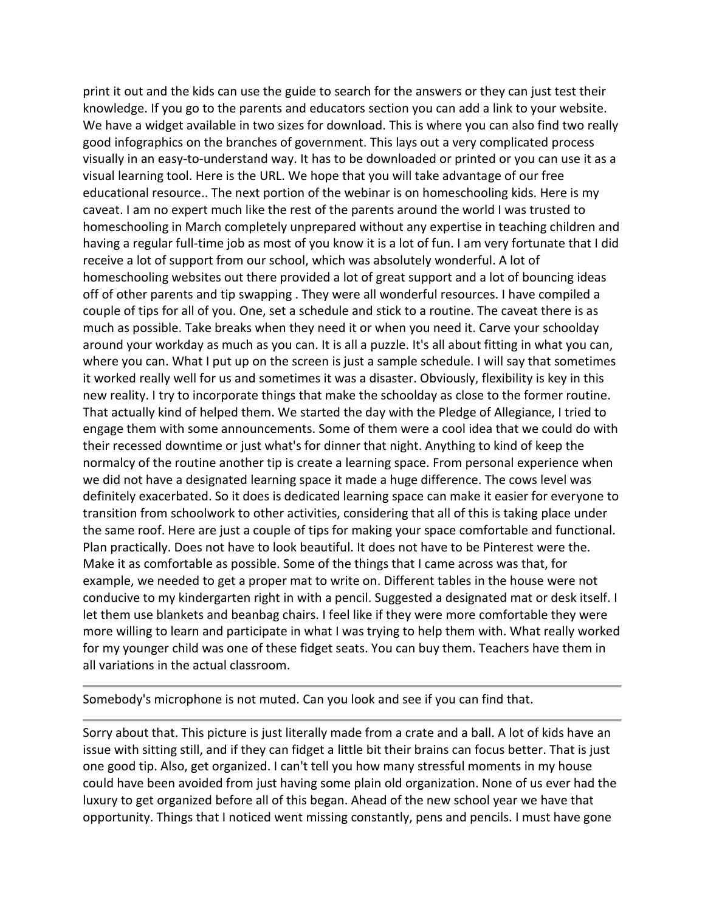print it out and the kids can use the guide to search for the answers or they can just test their knowledge. If you go to the parents and educators section you can add a link to your website. We have a widget available in two sizes for download. This is where you can also find two really good infographics on the branches of government. This lays out a very complicated process visually in an easy-to-understand way. It has to be downloaded or printed or you can use it as a visual learning tool. Here is the URL. We hope that you will take advantage of our free educational resource.. The next portion of the webinar is on homeschooling kids. Here is my caveat. I am no expert much like the rest of the parents around the world I was trusted to homeschooling in March completely unprepared without any expertise in teaching children and having a regular full-time job as most of you know it is a lot of fun. I am very fortunate that I did receive a lot of support from our school, which was absolutely wonderful. A lot of homeschooling websites out there provided a lot of great support and a lot of bouncing ideas off of other parents and tip swapping . They were all wonderful resources. I have compiled a couple of tips for all of you. One, set a schedule and stick to a routine. The caveat there is as much as possible. Take breaks when they need it or when you need it. Carve your schoolday around your workday as much as you can. It is all a puzzle. It's all about fitting in what you can, where you can. What I put up on the screen is just a sample schedule. I will say that sometimes it worked really well for us and sometimes it was a disaster. Obviously, flexibility is key in this new reality. I try to incorporate things that make the schoolday as close to the former routine. That actually kind of helped them. We started the day with the Pledge of Allegiance, I tried to engage them with some announcements. Some of them were a cool idea that we could do with their recessed downtime or just what's for dinner that night. Anything to kind of keep the normalcy of the routine another tip is create a learning space. From personal experience when we did not have a designated learning space it made a huge difference. The cows level was definitely exacerbated. So it does is dedicated learning space can make it easier for everyone to transition from schoolwork to other activities, considering that all of this is taking place under the same roof. Here are just a couple of tips for making your space comfortable and functional. Plan practically. Does not have to look beautiful. It does not have to be Pinterest were the. Make it as comfortable as possible. Some of the things that I came across was that, for example, we needed to get a proper mat to write on. Different tables in the house were not conducive to my kindergarten right in with a pencil. Suggested a designated mat or desk itself. I let them use blankets and beanbag chairs. I feel like if they were more comfortable they were more willing to learn and participate in what I was trying to help them with. What really worked for my younger child was one of these fidget seats. You can buy them. Teachers have them in all variations in the actual classroom.

Somebody's microphone is not muted. Can you look and see if you can find that.

Sorry about that. This picture is just literally made from a crate and a ball. A lot of kids have an issue with sitting still, and if they can fidget a little bit their brains can focus better. That is just one good tip. Also, get organized. I can't tell you how many stressful moments in my house could have been avoided from just having some plain old organization. None of us ever had the luxury to get organized before all of this began. Ahead of the new school year we have that opportunity. Things that I noticed went missing constantly, pens and pencils. I must have gone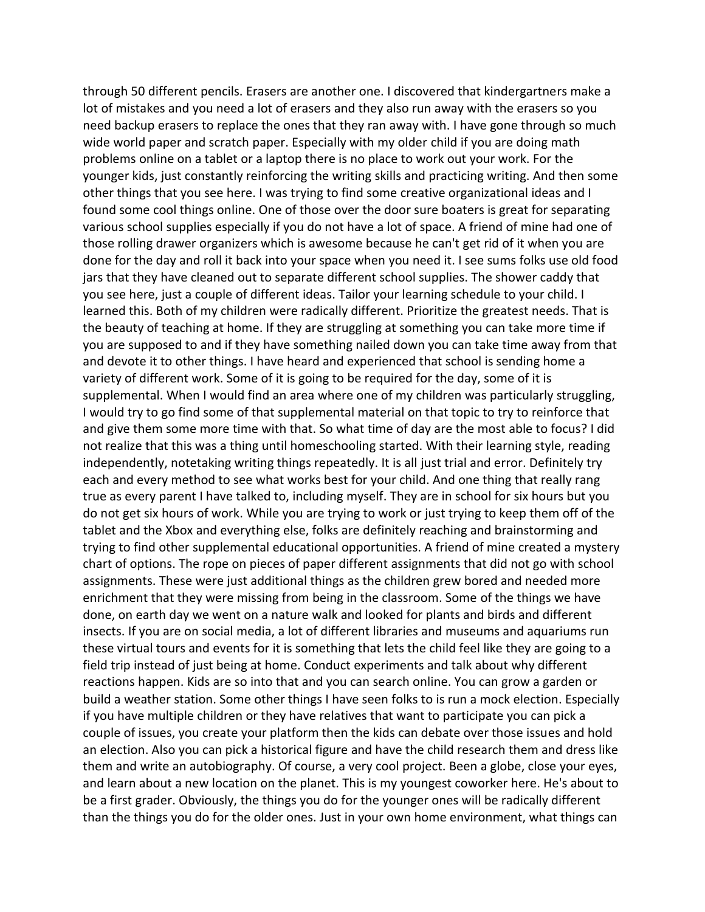through 50 different pencils. Erasers are another one. I discovered that kindergartners make a lot of mistakes and you need a lot of erasers and they also run away with the erasers so you need backup erasers to replace the ones that they ran away with. I have gone through so much wide world paper and scratch paper. Especially with my older child if you are doing math problems online on a tablet or a laptop there is no place to work out your work. For the younger kids, just constantly reinforcing the writing skills and practicing writing. And then some other things that you see here. I was trying to find some creative organizational ideas and I found some cool things online. One of those over the door sure boaters is great for separating various school supplies especially if you do not have a lot of space. A friend of mine had one of those rolling drawer organizers which is awesome because he can't get rid of it when you are done for the day and roll it back into your space when you need it. I see sums folks use old food jars that they have cleaned out to separate different school supplies. The shower caddy that you see here, just a couple of different ideas. Tailor your learning schedule to your child. I learned this. Both of my children were radically different. Prioritize the greatest needs. That is the beauty of teaching at home. If they are struggling at something you can take more time if you are supposed to and if they have something nailed down you can take time away from that and devote it to other things. I have heard and experienced that school is sending home a variety of different work. Some of it is going to be required for the day, some of it is supplemental. When I would find an area where one of my children was particularly struggling, I would try to go find some of that supplemental material on that topic to try to reinforce that and give them some more time with that. So what time of day are the most able to focus? I did not realize that this was a thing until homeschooling started. With their learning style, reading independently, notetaking writing things repeatedly. It is all just trial and error. Definitely try each and every method to see what works best for your child. And one thing that really rang true as every parent I have talked to, including myself. They are in school for six hours but you do not get six hours of work. While you are trying to work or just trying to keep them off of the tablet and the Xbox and everything else, folks are definitely reaching and brainstorming and trying to find other supplemental educational opportunities. A friend of mine created a mystery chart of options. The rope on pieces of paper different assignments that did not go with school assignments. These were just additional things as the children grew bored and needed more enrichment that they were missing from being in the classroom. Some of the things we have done, on earth day we went on a nature walk and looked for plants and birds and different insects. If you are on social media, a lot of different libraries and museums and aquariums run these virtual tours and events for it is something that lets the child feel like they are going to a field trip instead of just being at home. Conduct experiments and talk about why different reactions happen. Kids are so into that and you can search online. You can grow a garden or build a weather station. Some other things I have seen folks to is run a mock election. Especially if you have multiple children or they have relatives that want to participate you can pick a couple of issues, you create your platform then the kids can debate over those issues and hold an election. Also you can pick a historical figure and have the child research them and dress like them and write an autobiography. Of course, a very cool project. Been a globe, close your eyes, and learn about a new location on the planet. This is my youngest coworker here. He's about to be a first grader. Obviously, the things you do for the younger ones will be radically different than the things you do for the older ones. Just in your own home environment, what things can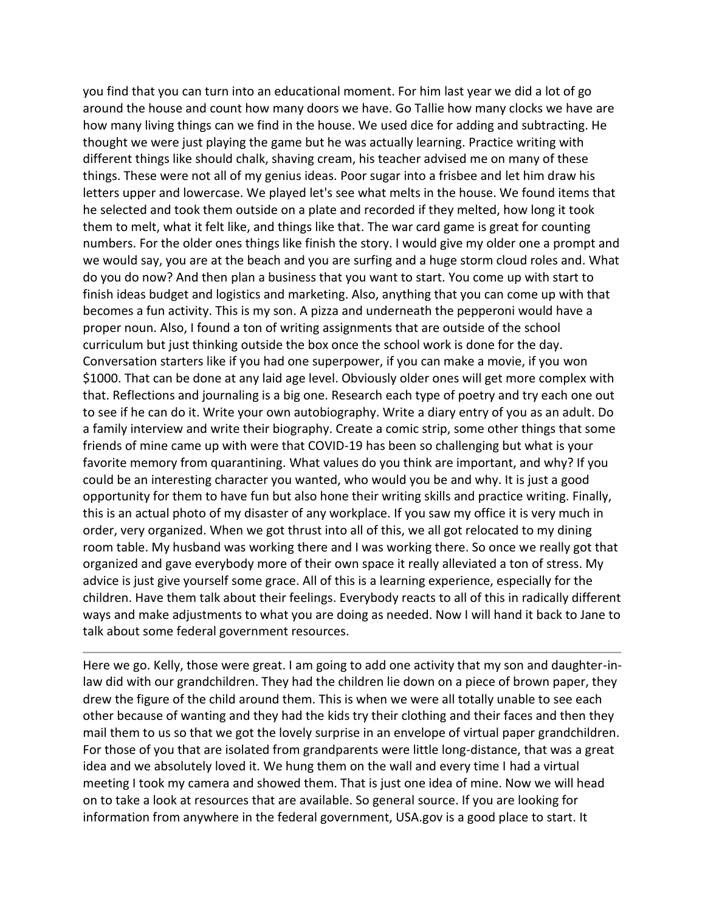you find that you can turn into an educational moment. For him last year we did a lot of go around the house and count how many doors we have. Go Tallie how many clocks we have are how many living things can we find in the house. We used dice for adding and subtracting. He thought we were just playing the game but he was actually learning. Practice writing with different things like should chalk, shaving cream, his teacher advised me on many of these things. These were not all of my genius ideas. Poor sugar into a frisbee and let him draw his letters upper and lowercase. We played let's see what melts in the house. We found items that he selected and took them outside on a plate and recorded if they melted, how long it took them to melt, what it felt like, and things like that. The war card game is great for counting numbers. For the older ones things like finish the story. I would give my older one a prompt and we would say, you are at the beach and you are surfing and a huge storm cloud roles and. What do you do now? And then plan a business that you want to start. You come up with start to finish ideas budget and logistics and marketing. Also, anything that you can come up with that becomes a fun activity. This is my son. A pizza and underneath the pepperoni would have a proper noun. Also, I found a ton of writing assignments that are outside of the school curriculum but just thinking outside the box once the school work is done for the day. Conversation starters like if you had one superpower, if you can make a movie, if you won \$1000. That can be done at any laid age level. Obviously older ones will get more complex with that. Reflections and journaling is a big one. Research each type of poetry and try each one out to see if he can do it. Write your own autobiography. Write a diary entry of you as an adult. Do a family interview and write their biography. Create a comic strip, some other things that some friends of mine came up with were that COVID-19 has been so challenging but what is your favorite memory from quarantining. What values do you think are important, and why? If you could be an interesting character you wanted, who would you be and why. It is just a good opportunity for them to have fun but also hone their writing skills and practice writing. Finally, this is an actual photo of my disaster of any workplace. If you saw my office it is very much in order, very organized. When we got thrust into all of this, we all got relocated to my dining room table. My husband was working there and I was working there. So once we really got that organized and gave everybody more of their own space it really alleviated a ton of stress. My advice is just give yourself some grace. All of this is a learning experience, especially for the children. Have them talk about their feelings. Everybody reacts to all of this in radically different ways and make adjustments to what you are doing as needed. Now I will hand it back to Jane to talk about some federal government resources.

Here we go. Kelly, those were great. I am going to add one activity that my son and daughter-inlaw did with our grandchildren. They had the children lie down on a piece of brown paper, they drew the figure of the child around them. This is when we were all totally unable to see each other because of wanting and they had the kids try their clothing and their faces and then they mail them to us so that we got the lovely surprise in an envelope of virtual paper grandchildren. For those of you that are isolated from grandparents were little long-distance, that was a great idea and we absolutely loved it. We hung them on the wall and every time I had a virtual meeting I took my camera and showed them. That is just one idea of mine. Now we will head on to take a look at resources that are available. So general source. If you are looking for information from anywhere in the federal government, USA.gov is a good place to start. It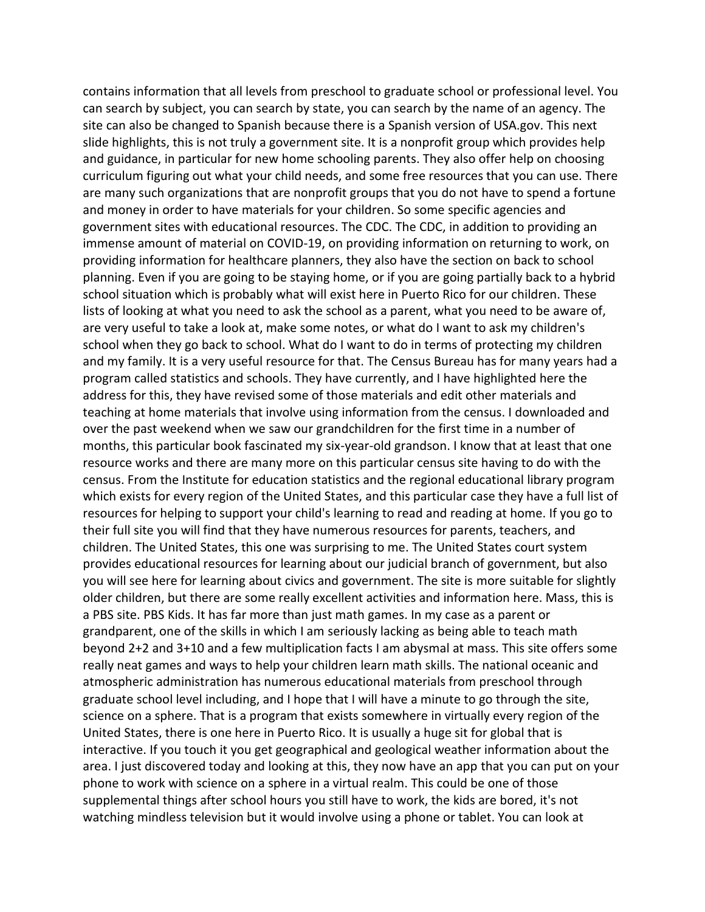contains information that all levels from preschool to graduate school or professional level. You can search by subject, you can search by state, you can search by the name of an agency. The site can also be changed to Spanish because there is a Spanish version of USA.gov. This next slide highlights, this is not truly a government site. It is a nonprofit group which provides help and guidance, in particular for new home schooling parents. They also offer help on choosing curriculum figuring out what your child needs, and some free resources that you can use. There are many such organizations that are nonprofit groups that you do not have to spend a fortune and money in order to have materials for your children. So some specific agencies and government sites with educational resources. The CDC. The CDC, in addition to providing an immense amount of material on COVID-19, on providing information on returning to work, on providing information for healthcare planners, they also have the section on back to school planning. Even if you are going to be staying home, or if you are going partially back to a hybrid school situation which is probably what will exist here in Puerto Rico for our children. These lists of looking at what you need to ask the school as a parent, what you need to be aware of, are very useful to take a look at, make some notes, or what do I want to ask my children's school when they go back to school. What do I want to do in terms of protecting my children and my family. It is a very useful resource for that. The Census Bureau has for many years had a program called statistics and schools. They have currently, and I have highlighted here the address for this, they have revised some of those materials and edit other materials and teaching at home materials that involve using information from the census. I downloaded and over the past weekend when we saw our grandchildren for the first time in a number of months, this particular book fascinated my six-year-old grandson. I know that at least that one resource works and there are many more on this particular census site having to do with the census. From the Institute for education statistics and the regional educational library program which exists for every region of the United States, and this particular case they have a full list of resources for helping to support your child's learning to read and reading at home. If you go to their full site you will find that they have numerous resources for parents, teachers, and children. The United States, this one was surprising to me. The United States court system provides educational resources for learning about our judicial branch of government, but also you will see here for learning about civics and government. The site is more suitable for slightly older children, but there are some really excellent activities and information here. Mass, this is a PBS site. PBS Kids. It has far more than just math games. In my case as a parent or grandparent, one of the skills in which I am seriously lacking as being able to teach math beyond 2+2 and 3+10 and a few multiplication facts I am abysmal at mass. This site offers some really neat games and ways to help your children learn math skills. The national oceanic and atmospheric administration has numerous educational materials from preschool through graduate school level including, and I hope that I will have a minute to go through the site, science on a sphere. That is a program that exists somewhere in virtually every region of the United States, there is one here in Puerto Rico. It is usually a huge sit for global that is interactive. If you touch it you get geographical and geological weather information about the area. I just discovered today and looking at this, they now have an app that you can put on your phone to work with science on a sphere in a virtual realm. This could be one of those supplemental things after school hours you still have to work, the kids are bored, it's not watching mindless television but it would involve using a phone or tablet. You can look at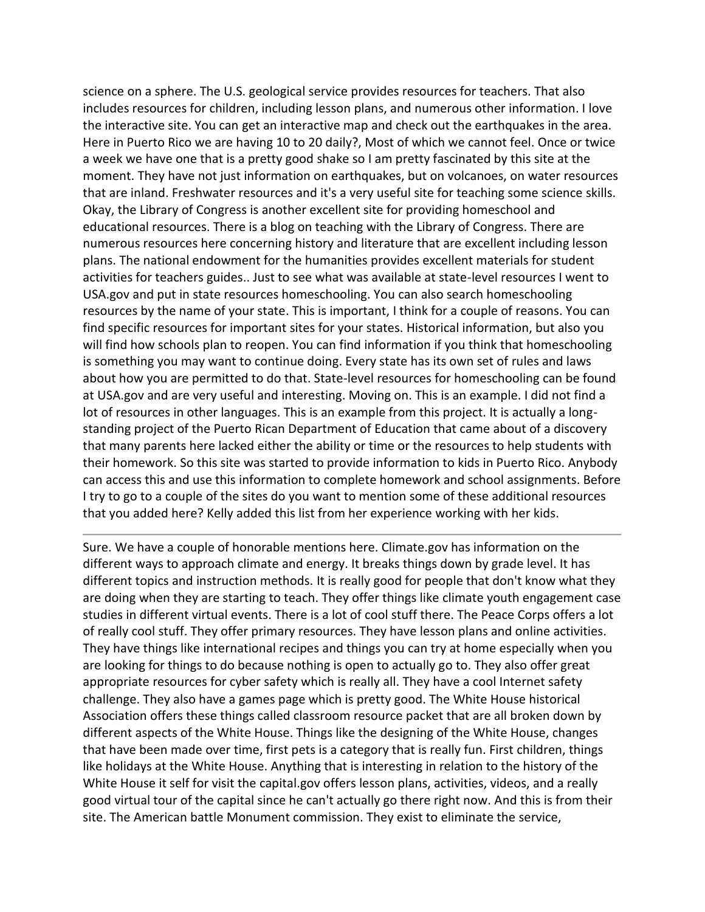science on a sphere. The U.S. geological service provides resources for teachers. That also includes resources for children, including lesson plans, and numerous other information. I love the interactive site. You can get an interactive map and check out the earthquakes in the area. Here in Puerto Rico we are having 10 to 20 daily?, Most of which we cannot feel. Once or twice a week we have one that is a pretty good shake so I am pretty fascinated by this site at the moment. They have not just information on earthquakes, but on volcanoes, on water resources that are inland. Freshwater resources and it's a very useful site for teaching some science skills. Okay, the Library of Congress is another excellent site for providing homeschool and educational resources. There is a blog on teaching with the Library of Congress. There are numerous resources here concerning history and literature that are excellent including lesson plans. The national endowment for the humanities provides excellent materials for student activities for teachers guides.. Just to see what was available at state-level resources I went to USA.gov and put in state resources homeschooling. You can also search homeschooling resources by the name of your state. This is important, I think for a couple of reasons. You can find specific resources for important sites for your states. Historical information, but also you will find how schools plan to reopen. You can find information if you think that homeschooling is something you may want to continue doing. Every state has its own set of rules and laws about how you are permitted to do that. State-level resources for homeschooling can be found at USA.gov and are very useful and interesting. Moving on. This is an example. I did not find a lot of resources in other languages. This is an example from this project. It is actually a longstanding project of the Puerto Rican Department of Education that came about of a discovery that many parents here lacked either the ability or time or the resources to help students with their homework. So this site was started to provide information to kids in Puerto Rico. Anybody can access this and use this information to complete homework and school assignments. Before I try to go to a couple of the sites do you want to mention some of these additional resources that you added here? Kelly added this list from her experience working with her kids.

Sure. We have a couple of honorable mentions here. Climate.gov has information on the different ways to approach climate and energy. It breaks things down by grade level. It has different topics and instruction methods. It is really good for people that don't know what they are doing when they are starting to teach. They offer things like climate youth engagement case studies in different virtual events. There is a lot of cool stuff there. The Peace Corps offers a lot of really cool stuff. They offer primary resources. They have lesson plans and online activities. They have things like international recipes and things you can try at home especially when you are looking for things to do because nothing is open to actually go to. They also offer great appropriate resources for cyber safety which is really all. They have a cool Internet safety challenge. They also have a games page which is pretty good. The White House historical Association offers these things called classroom resource packet that are all broken down by different aspects of the White House. Things like the designing of the White House, changes that have been made over time, first pets is a category that is really fun. First children, things like holidays at the White House. Anything that is interesting in relation to the history of the White House it self for visit the capital.gov offers lesson plans, activities, videos, and a really good virtual tour of the capital since he can't actually go there right now. And this is from their site. The American battle Monument commission. They exist to eliminate the service,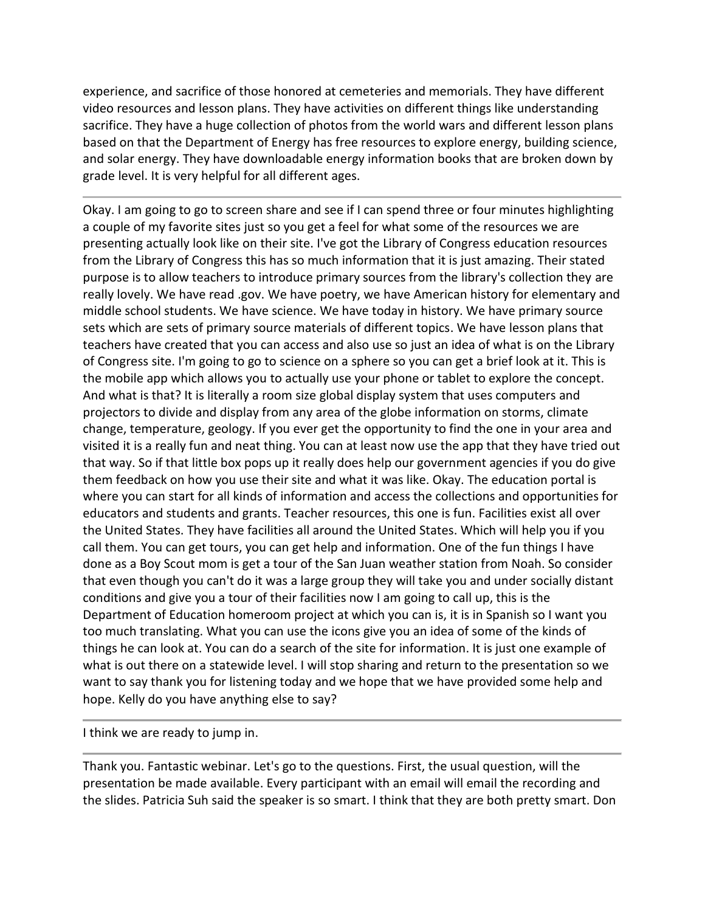experience, and sacrifice of those honored at cemeteries and memorials. They have different video resources and lesson plans. They have activities on different things like understanding sacrifice. They have a huge collection of photos from the world wars and different lesson plans based on that the Department of Energy has free resources to explore energy, building science, and solar energy. They have downloadable energy information books that are broken down by grade level. It is very helpful for all different ages.

Okay. I am going to go to screen share and see if I can spend three or four minutes highlighting a couple of my favorite sites just so you get a feel for what some of the resources we are presenting actually look like on their site. I've got the Library of Congress education resources from the Library of Congress this has so much information that it is just amazing. Their stated purpose is to allow teachers to introduce primary sources from the library's collection they are really lovely. We have read .gov. We have poetry, we have American history for elementary and middle school students. We have science. We have today in history. We have primary source sets which are sets of primary source materials of different topics. We have lesson plans that teachers have created that you can access and also use so just an idea of what is on the Library of Congress site. I'm going to go to science on a sphere so you can get a brief look at it. This is the mobile app which allows you to actually use your phone or tablet to explore the concept. And what is that? It is literally a room size global display system that uses computers and projectors to divide and display from any area of the globe information on storms, climate change, temperature, geology. If you ever get the opportunity to find the one in your area and visited it is a really fun and neat thing. You can at least now use the app that they have tried out that way. So if that little box pops up it really does help our government agencies if you do give them feedback on how you use their site and what it was like. Okay. The education portal is where you can start for all kinds of information and access the collections and opportunities for educators and students and grants. Teacher resources, this one is fun. Facilities exist all over the United States. They have facilities all around the United States. Which will help you if you call them. You can get tours, you can get help and information. One of the fun things I have done as a Boy Scout mom is get a tour of the San Juan weather station from Noah. So consider that even though you can't do it was a large group they will take you and under socially distant conditions and give you a tour of their facilities now I am going to call up, this is the Department of Education homeroom project at which you can is, it is in Spanish so I want you too much translating. What you can use the icons give you an idea of some of the kinds of things he can look at. You can do a search of the site for information. It is just one example of what is out there on a statewide level. I will stop sharing and return to the presentation so we want to say thank you for listening today and we hope that we have provided some help and hope. Kelly do you have anything else to say?

I think we are ready to jump in.

Thank you. Fantastic webinar. Let's go to the questions. First, the usual question, will the presentation be made available. Every participant with an email will email the recording and the slides. Patricia Suh said the speaker is so smart. I think that they are both pretty smart. Don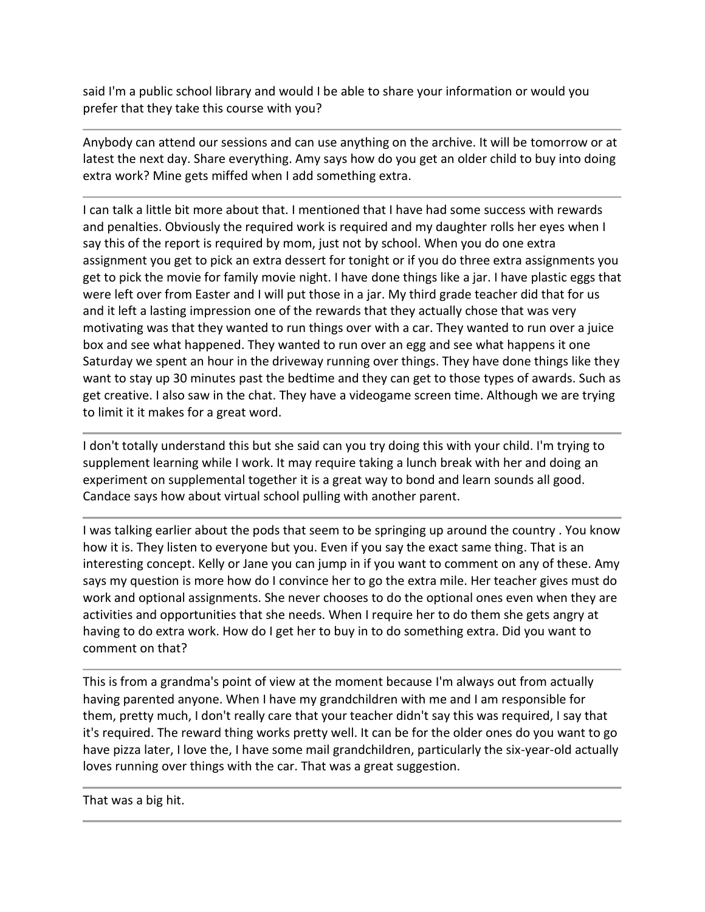said I'm a public school library and would I be able to share your information or would you prefer that they take this course with you?

Anybody can attend our sessions and can use anything on the archive. It will be tomorrow or at latest the next day. Share everything. Amy says how do you get an older child to buy into doing extra work? Mine gets miffed when I add something extra.

I can talk a little bit more about that. I mentioned that I have had some success with rewards and penalties. Obviously the required work is required and my daughter rolls her eyes when I say this of the report is required by mom, just not by school. When you do one extra assignment you get to pick an extra dessert for tonight or if you do three extra assignments you get to pick the movie for family movie night. I have done things like a jar. I have plastic eggs that were left over from Easter and I will put those in a jar. My third grade teacher did that for us and it left a lasting impression one of the rewards that they actually chose that was very motivating was that they wanted to run things over with a car. They wanted to run over a juice box and see what happened. They wanted to run over an egg and see what happens it one Saturday we spent an hour in the driveway running over things. They have done things like they want to stay up 30 minutes past the bedtime and they can get to those types of awards. Such as get creative. I also saw in the chat. They have a videogame screen time. Although we are trying to limit it it makes for a great word.

I don't totally understand this but she said can you try doing this with your child. I'm trying to supplement learning while I work. It may require taking a lunch break with her and doing an experiment on supplemental together it is a great way to bond and learn sounds all good. Candace says how about virtual school pulling with another parent.

I was talking earlier about the pods that seem to be springing up around the country . You know how it is. They listen to everyone but you. Even if you say the exact same thing. That is an interesting concept. Kelly or Jane you can jump in if you want to comment on any of these. Amy says my question is more how do I convince her to go the extra mile. Her teacher gives must do work and optional assignments. She never chooses to do the optional ones even when they are activities and opportunities that she needs. When I require her to do them she gets angry at having to do extra work. How do I get her to buy in to do something extra. Did you want to comment on that?

This is from a grandma's point of view at the moment because I'm always out from actually having parented anyone. When I have my grandchildren with me and I am responsible for them, pretty much, I don't really care that your teacher didn't say this was required, I say that it's required. The reward thing works pretty well. It can be for the older ones do you want to go have pizza later, I love the, I have some mail grandchildren, particularly the six-year-old actually loves running over things with the car. That was a great suggestion.

That was a big hit.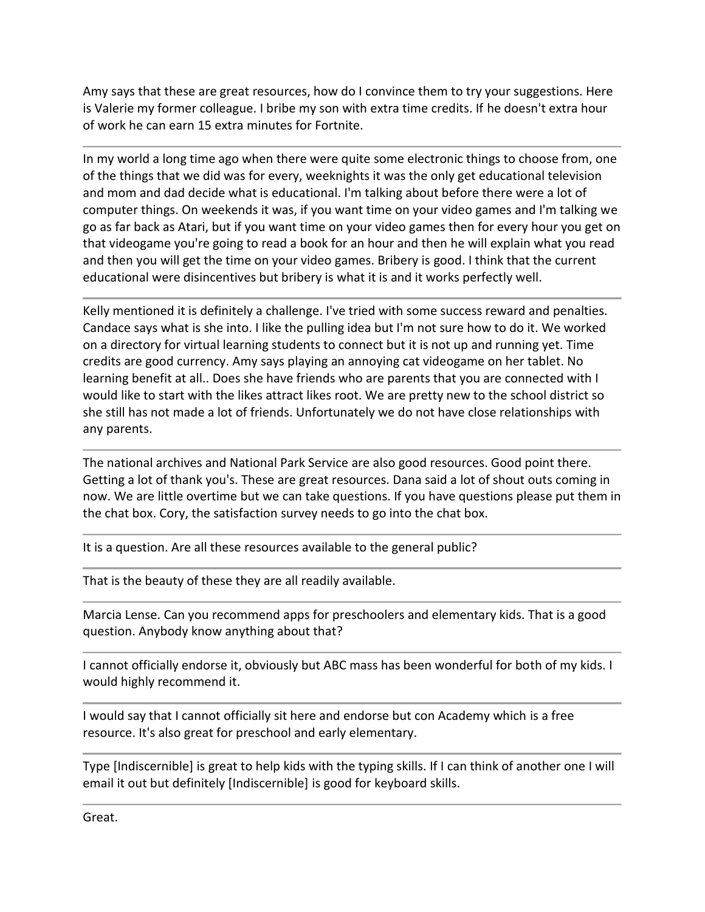Amy says that these are great resources, how do I convince them to try your suggestions. Here is Valerie my former colleague. I bribe my son with extra time credits. If he doesn't extra hour of work he can earn 15 extra minutes for Fortnite.

In my world a long time ago when there were quite some electronic things to choose from, one of the things that we did was for every, weeknights it was the only get educational television and mom and dad decide what is educational. I'm talking about before there were a lot of computer things. On weekends it was, if you want time on your video games and I'm talking we go as far back as Atari, but if you want time on your video games then for every hour you get on that videogame you're going to read a book for an hour and then he will explain what you read and then you will get the time on your video games. Bribery is good. I think that the current educational were disincentives but bribery is what it is and it works perfectly well.

Kelly mentioned it is definitely a challenge. I've tried with some success reward and penalties. Candace says what is she into. I like the pulling idea but I'm not sure how to do it. We worked on a directory for virtual learning students to connect but it is not up and running yet. Time credits are good currency. Amy says playing an annoying cat videogame on her tablet. No learning benefit at all.. Does she have friends who are parents that you are connected with I would like to start with the likes attract likes root. We are pretty new to the school district so she still has not made a lot of friends. Unfortunately we do not have close relationships with any parents.

The national archives and National Park Service are also good resources. Good point there. Getting a lot of thank you's. These are great resources. Dana said a lot of shout outs coming in now. We are little overtime but we can take questions. If you have questions please put them in the chat box. Cory, the satisfaction survey needs to go into the chat box.

It is a question. Are all these resources available to the general public?

That is the beauty of these they are all readily available.

Marcia Lense. Can you recommend apps for preschoolers and elementary kids. That is a good question. Anybody know anything about that?

I cannot officially endorse it, obviously but ABC mass has been wonderful for both of my kids. I would highly recommend it.

I would say that I cannot officially sit here and endorse but con Academy which is a free resource. It's also great for preschool and early elementary.

Type [Indiscernible] is great to help kids with the typing skills. If I can think of another one I will email it out but definitely [Indiscernible] is good for keyboard skills.

Great.